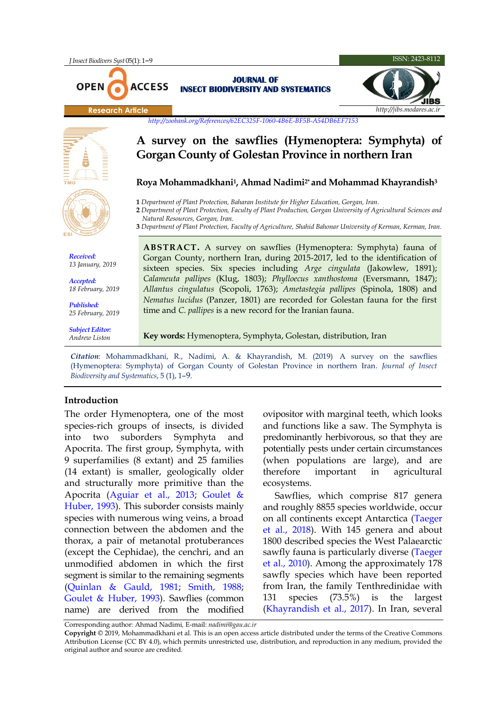

*Biodiversity and Systematics*, 5 (1), 1–9.

## **Introduction**

The order Hymenoptera, one of the most species-rich groups of insects, is divided into two suborders Symphyta and Apocrita. The first group, Symphyta, with 9 superfamilies (8 extant) and 25 families (14 extant) is smaller, geologically older and structurally more primitive than the Apocrita [\(Aguiar et al., 2013;](#page-6-0) [Goulet &](#page-6-1)  [Huber, 1993\)](#page-6-1). This suborder consists mainly species with numerous wing veins, a broad connection between the abdomen and the thorax, a pair of metanotal protuberances (except the Cephidae), the cenchri, and an unmodified abdomen in which the first segment is similar to the remaining segments [\(Quinlan & Gauld, 1981;](#page-7-0) [Smith, 1988;](#page-7-1) Goulet & [Huber, 1993\)](#page-6-1). Sawflies (common name) are derived from the modified ovipositor with marginal teeth, which looks and functions like a saw. The Symphyta is predominantly herbivorous, so that they are potentially pests under certain circumstances (when populations are large), and are therefore important in agricultural ecosystems.

Sawflies, which comprise 817 genera and roughly 8855 species worldwide, occur on all continents except Antarctica [\(Taeger](#page-7-2)  [et al., 2018\)](#page-7-2). With 145 genera and about 1800 described species the West Palaearctic sawfly fauna is particularly diverse [\(Taeger](#page-7-3)  [et al., 2010\)](#page-7-3). Among the approximately 178 sawfly species which have been reported from Iran, the family Tenthredinidae with 131 species (73.5%) is the largest [\(Khayrandish et al., 2017\)](#page-7-4). In Iran, several

Corresponding author: Ahmad Nadimi*,* E-mail: *nadimi@gau.ac.ir*

**Copyright** © 2019, Mohammadkhani et al. This is an open access article distributed under the terms of the Creative Commons Attribution License (CC BY 4.0), which permits unrestricted use, distribution, and reproduction in any medium, provided the original author and source are credited.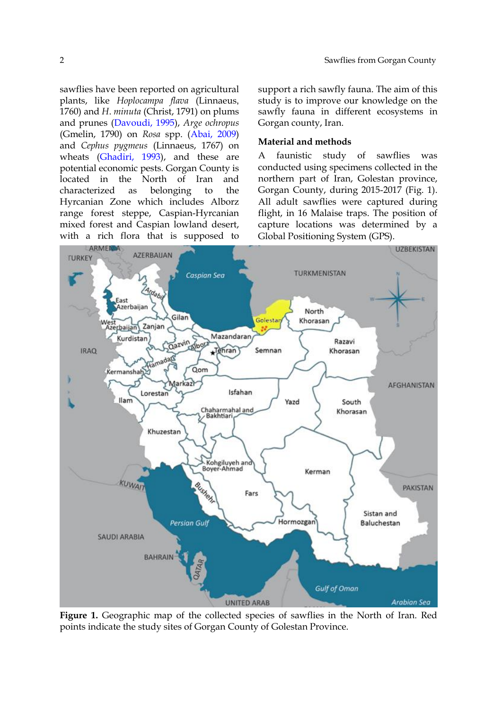sawflies have been reported on agricultural plants, like *Hoplocampa flava* (Linnaeus, 1760) and *H*. *minuta* (Christ, 1791) on plums and prunes [\(Davoudi, 1995\)](#page-6-2), *Arge ochropus* (Gmelin, 1790) on *Rosa* spp. [\(Abai, 2009\)](#page-6-3) and *Cephus pygmeus* (Linnaeus, 1767) on wheats [\(Ghadiri, 1993\)](#page-6-4), and these are potential economic pests. Gorgan County is located in the North of Iran and characterized as belonging to the Hyrcanian Zone which includes Alborz range forest steppe, Caspian-Hyrcanian mixed forest and Caspian lowland desert, with a rich flora that is supposed to

support a rich sawfly fauna. The aim of this study is to improve our knowledge on the sawfly fauna in different ecosystems in Gorgan county, Iran.

### **Material and methods**

A faunistic study of sawflies was conducted using specimens collected in the northern part of Iran, Golestan province, Gorgan County, during 2015-2017 (Fig. 1). All adult sawflies were captured during flight, in 16 Malaise traps. The position of capture locations was determined by a Global Positioning System (GPS).



**Figure 1.** Geographic map of the collected species of sawflies in the North of Iran. Red points indicate the study sites of Gorgan County of Golestan Province.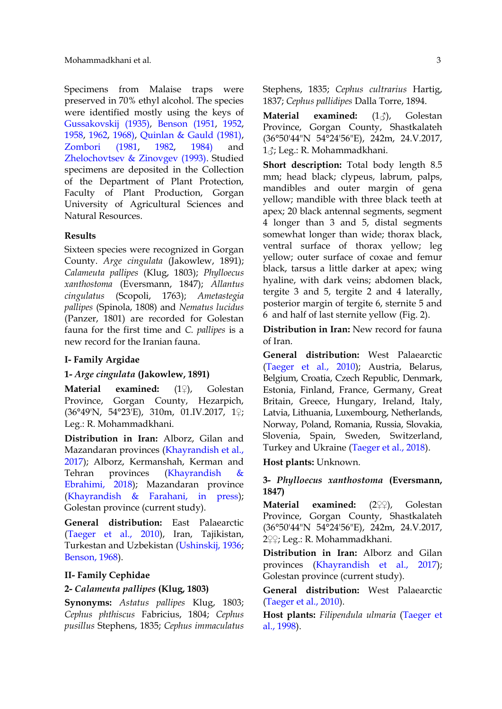Specimens from Malaise traps were preserved in 70% ethyl alcohol. The species were identified mostly using the keys of [Gussakovskij \(1935\),](#page-6-5) [Benson \(1951,](#page-6-6) [1952,](#page-6-7) [1958,](#page-6-8) [1962,](#page-6-9) [1968\),](#page-6-10) [Quinlan & Gauld \(1981\),](#page-7-0) [Zombori \(1981,](#page-7-5) [1982,](#page-7-6) [1984\)](#page-7-7) and [Zhelochovtsev & Zinovgev \(1993\).](#page-7-8) Studied specimens are deposited in the Collection of the Department of Plant Protection, Faculty of Plant Production, Gorgan University of Agricultural Sciences and Natural Resources.

# **Results**

Sixteen species were recognized in Gorgan County. *Arge cingulata* (Jakowlew, 1891); *Calameuta pallipes* (Klug, 1803); *Phylloecus xanthostoma* (Eversmann, 1847); *Allantus cingulatus* (Scopoli, 1763); *Ametastegia pallipes* (Spinola, 1808) and *Nematus lucidus* (Panzer, 1801) are recorded for Golestan fauna for the first time and *C. pallipes* is a new record for the Iranian fauna.

#### **I- Family Argidae**

### **1-** *Arge cingulata* **(Jakowlew, 1891)**

**Material examined:** (1♀), Golestan Province, Gorgan County, Hezarpich, (36°49'N, 54°23'E), 310m, 01.IV.2017, 1♀; Leg.: R. Mohammadkhani.

**Distribution in Iran:** Alborz, Gilan and Mazandaran provinces [\(Khayrandish et al.,](#page-7-4)  [2017\)](#page-7-4); Alborz, Kermanshah, Kerman and Tehran provinces [\(Khayrandish &](#page-6-11)  [Ebrahimi, 2018\)](#page-6-11); Mazandaran province [\(Khayrandish & Farahani, in press\)](#page-7-9); Golestan province (current study).

**General distribution:** East Palaearctic [\(Taeger et al., 2010\)](#page-7-3), Iran, Tajikistan, Turkestan and Uzbekistan [\(Ushinskij, 1936;](#page-7-10) [Benson, 1968\)](#page-6-10).

# **II- Family Cephidae**

#### **2-** *Calameuta pallipes* **(Klug, 1803)**

**Synonyms:** *Astatus pallipes* Klug, 1803; *Cephus phthiscus* Fabricius, 1804; *Cephus pusillus* Stephens, 1835; *Cephus immaculatus* Stephens, 1835; *Cephus cultrarius* Hartig, 1837; *Cephus pallidipes* Dalla Torre, 1894.

**Material examined:** (13), Golestan Province, Gorgan County, Shastkalateh (36°50'44"N 54°24'56"E), 242m, 24.V.2017, 1♂; Leg.: R. Mohammadkhani.

**Short description:** Total body length 8.5 mm; head black; clypeus, labrum, palps, mandibles and outer margin of gena yellow; mandible with three black teeth at apex; 20 black antennal segments, segment 4 longer than 3 and 5, distal segments somewhat longer than wide; thorax black, ventral surface of thorax yellow; leg yellow; outer surface of coxae and femur black, tarsus a little darker at apex; wing hyaline, with dark veins; abdomen black, tergite 3 and 5, tergite 2 and 4 laterally, posterior margin of tergite 6, sternite 5 and 6 and half of last sternite yellow (Fig. 2).

**Distribution in Iran:** New record for fauna of Iran.

**General distribution:** West Palaearctic [\(Taeger et al., 2010\)](#page-7-3); Austria, Belarus, Belgium, Croatia, Czech Republic, Denmark, Estonia, Finland, France, Germany, Great Britain, Greece, Hungary, Ireland, Italy, Latvia, Lithuania, Luxembourg, Netherlands, Norway, Poland, Romania, Russia, Slovakia, Slovenia, Spain, Sweden, Switzerland, Turkey and Ukraine [\(Taeger et al., 2018\)](#page-7-2).

**Host plants:** Unknown.

# **3-** *Phylloecus xanthostoma* **(Eversmann, 1847)**

**Material examined:** (2♀♀), Golestan Province, Gorgan County, Shastkalateh (36°50'44"N 54°24'56"E), 242m, 24.V.2017, 2♀♀; Leg.: R. Mohammadkhani.

**Distribution in Iran:** Alborz and Gilan provinces [\(Khayrandish et al., 2017\)](#page-7-4); Golestan province (current study).

**General distribution:** West Palaearctic [\(Taeger et al., 2010\)](#page-7-3).

**Host plants:** *Filipendula ulmaria* [\(Taeger et](#page-7-11)  [al., 1998\)](#page-7-11).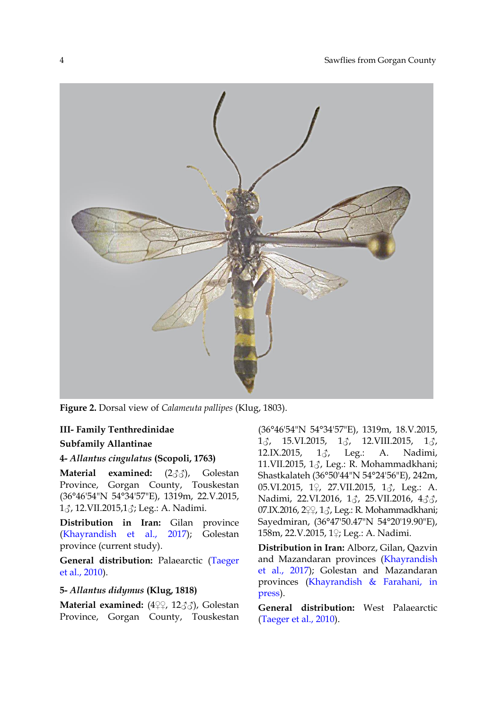

**Figure 2.** Dorsal view of *Calameuta pallipes* (Klug, 1803).

# **III- Family Tenthredinidae**

## **Subfamily Allantinae**

# **4-** *Allantus cingulatus* **(Scopoli, 1763)**

**Material examined:** (2♂♂), Golestan Province, Gorgan County, Touskestan (36°46'54"N 54°34'57"E), 1319m, 22.V.2015, 1♂, 12.VII.2015,1♂; Leg.: A. Nadimi.

**Distribution in Iran:** Gilan province [\(Khayrandish et al., 2017\)](#page-7-4); Golestan province (current study).

**General distribution:** Palaearctic [\(Taeger](#page-7-3)  [et al., 2010\)](#page-7-3).

# **5-** *Allantus didymus* **(Klug, 1818)**

**Material examined:** (4♀♀, 12♂♂), Golestan Province, Gorgan County, Touskestan

(36°46'54"N 54°34'57"E), 1319m, 18.V.2015, 1 $\delta$ , 15.VI.2015, 1 $\delta$ , 12.VIII.2015, 1 $\delta$ , 12.IX.2015,  $1\delta$ , Leg.: A. Nadimi, 11.VII.2015, 1♂, Leg.: R. Mohammadkhani; Shastkalateh (36°50'44"N 54°24'56"E), 242m, 05.VI.2015, 1♀, 27.VII.2015, 1♂, Leg.: A. Nadimi, 22.VI.2016, 1♂, 25.VII.2016, 4♂♂, 07.IX.2016, 2♀♀, 1♂, Leg.: R. Mohammadkhani; Sayedmiran, (36°47'50.47"N 54°20'19.90"E), 158m, 22.V.2015, 1♀; Leg.: A. Nadimi.

**Distribution in Iran:** Alborz, Gilan, Qazvin and Mazandaran provinces [\(Khayrandish](#page-7-4)  [et al., 2017\)](#page-7-4); Golestan and Mazandaran provinces [\(Khayrandish & Farahani, in](#page-7-9)  [press\)](#page-7-9).

**General distribution:** West Palaearctic [\(Taeger et al., 2010\)](#page-7-3).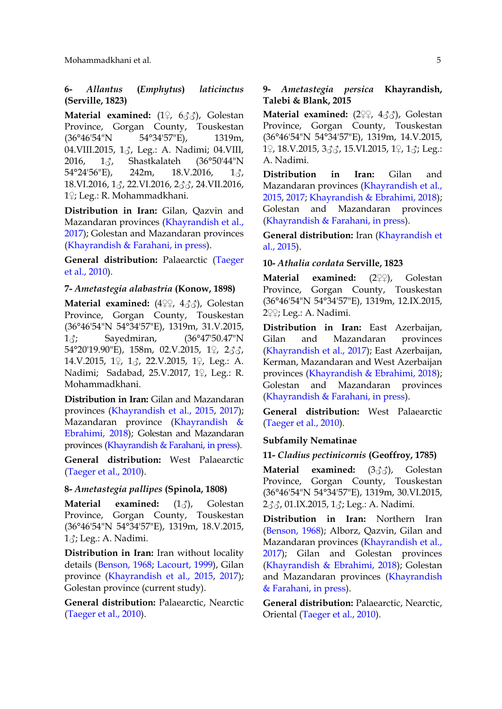# **6-** *Allantus* **(***Emphytus***)** *laticinctus* **(Serville, 1823)**

**Material examined:** (1♀, 6♂♂), Golestan Province, Gorgan County, Touskestan (36°46'54"N 54°34'57"E), 1319m, 04. VIII. 2015, 13, Leg.: A. Nadimi; 04. VIII, 2016, 1♂, Shastkalateh (36°50'44"N  $54^{\circ}24'56''$ E),  $242m$ ,  $18.V.2016$ ,  $1\frac{3}{10}$ , 18.VI.2016, 1♂, 22.VI.2016, 2♂♂, 24.VII.2016, 1♀; Leg.: R. Mohammadkhani.

**Distribution in Iran:** Gilan, Qazvin and Mazandaran provinces [\(Khayrandish et al.,](#page-7-4)  [2017\)](#page-7-4); Golestan and Mazandaran provinces [\(Khayrandish & Farahani, in press\)](#page-7-9).

**General distribution:** Palaearctic [\(Taeger](#page-7-3)  [et al., 2010\)](#page-7-3).

### **7-** *Ametastegia alabastria* **(Konow, 1898)**

**Material examined:** (4♀♀, 4♂♂), Golestan Province, Gorgan County, Touskestan (36°46'54"N 54°34'57"E), 1319m, 31.V.2015, 1♂; Sayedmiran, (36°47'50.47"N 54°20'19.90"E), 158m, 02.V.2015, 1♀, 2♂♂, 14.V.2015, 1♀, 1♂, 22.V.2015, 1♀, Leg.: A. Nadimi; Sadabad, 25.V.2017, 1♀, Leg.: R. Mohammadkhani.

**Distribution in Iran:** Gilan and Mazandaran provinces [\(Khayrandish et al., 2015,](#page-7-12) [2017\)](#page-7-4); Mazandaran province [\(Khayrandish &](#page-6-11)  [Ebrahimi, 2018\)](#page-6-11); Golestan and Mazandaran provinces [\(Khayrandish & Farahani, in press\)](#page-7-9).

**General distribution:** West Palaearctic [\(Taeger et al., 2010\)](#page-7-3).

#### **8-** *Ametastegia pallipes* **(Spinola, 1808)**

**Material examined:** (13), Golestan Province, Gorgan County, Touskestan (36°46'54"N 54°34'57"E), 1319m, 18.V.2015,  $1\delta$ ; Leg.: A. Nadimi.

**Distribution in Iran:** Iran without locality details [\(Benson, 1968;](#page-6-10) [Lacourt, 1999\)](#page-7-13), Gilan province [\(Khayrandish et al., 2015,](#page-7-12) [2017\)](#page-7-4); Golestan province (current study).

**General distribution:** Palaearctic, Nearctic [\(Taeger et al., 2010\)](#page-7-3).

# **9-** *Ametastegia persica* **Khayrandish, Talebi & Blank, 2015**

**Material examined:** (2♀♀, 4♂♂), Golestan Province, Gorgan County, Touskestan (36°46'54"N 54°34'57"E), 1319m, 14.V.2015, 1♀, 18.V.2015, 3♂♂, 15.VI.2015, 1♀, 1♂; Leg.: A. Nadimi.

**Distribution in Iran:** Gilan and Mazandaran provinces [\(Khayrandish et al.,](#page-7-12)  [2015,](#page-7-12) [2017;](#page-7-4) [Khayrandish & Ebrahimi, 2018\)](#page-6-11); Golestan and Mazandaran provinces [\(Khayrandish & Farahani, in press\)](#page-7-9).

**General distribution:** Iran [\(Khayrandish et](#page-7-12)  [al., 2015\)](#page-7-12).

# **10-** *Athalia cordata* **Serville, 1823**

**Material examined:** (2♀♀), Golestan Province, Gorgan County, Touskestan (36°46'54"N 54°34'57"E), 1319m, 12.IX.2015, 2♀♀; Leg.: A. Nadimi.

**Distribution in Iran:** East Azerbaijan, Gilan and Mazandaran provinces [\(Khayrandish et al., 2017\)](#page-7-4); East Azerbaijan, Kerman, Mazandaran and West Azerbaijan provinces [\(Khayrandish & Ebrahimi, 2018\)](#page-6-11); Golestan and Mazandaran provinces [\(Khayrandish & Farahani, in press\)](#page-7-9).

**General distribution:** West Palaearctic [\(Taeger et al., 2010\)](#page-7-3).

#### **Subfamily Nematinae**

#### **11-** *Cladius pectinicornis* **(Geoffroy, 1785)**

**Material examined:** (3♂♂), Golestan Province, Gorgan County, Touskestan (36°46'54"N 54°34'57"E), 1319m, 30.VI.2015, 2♂♂, 01.IX.2015, 1♂; Leg.: A. Nadimi.

**Distribution in Iran:** Northern Iran [\(Benson, 1968\)](#page-6-10); Alborz, Qazvin, Gilan and Mazandaran provinces [\(Khayrandish et al.,](#page-7-4)  [2017\)](#page-7-4); Gilan and Golestan provinces [\(Khayrandish & Ebrahimi, 2018\)](#page-6-11); Golestan and Mazandaran provinces [\(Khayrandish](#page-7-9)  [& Farahani, in press\)](#page-7-9).

**General distribution:** Palaearctic, Nearctic, Oriental [\(Taeger et al., 2010\)](#page-7-3).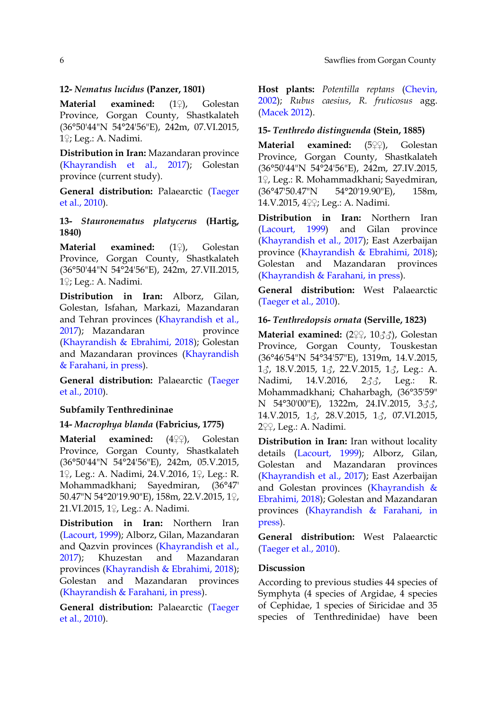## **12-** *Nematus lucidus* **(Panzer, 1801)**

**Material examined:** (1♀), Golestan Province, Gorgan County, Shastkalateh (36°50'44"N 54°24'56"E), 242m, 07.VI.2015, 1♀; Leg.: A. Nadimi.

**Distribution in Iran:** Mazandaran province [\(Khayrandish et al., 2017\)](#page-7-4); Golestan province (current study).

**General distribution:** Palaearctic [\(Taeger](#page-7-3)  [et al., 2010\)](#page-7-3).

# **13-** *Stauronematus platycerus* **(Hartig, 1840)**

**Material examined:** (1♀), Golestan Province, Gorgan County, Shastkalateh (36°50'44"N 54°24'56"E), 242m, 27.VII.2015, 1♀; Leg.: A. Nadimi.

**Distribution in Iran:** Alborz, Gilan, Golestan, Isfahan, Markazi, Mazandaran and Tehran provinces [\(Khayrandish et al.,](#page-7-4)  [2017\)](#page-7-4); Mazandaran province [\(Khayrandish & Ebrahimi, 2018\)](#page-6-11); Golestan and Mazandaran provinces [\(Khayrandish](#page-7-9)  [& Farahani, in press\)](#page-7-9).

**General distribution:** Palaearctic [\(Taeger](#page-7-3)  [et al., 2010\)](#page-7-3).

# **Subfamily Tenthredininae**

### **14-** *Macrophya blanda* **(Fabricius, 1775)**

**Material examined:** (4♀♀), Golestan Province, Gorgan County, Shastkalateh (36°50'44"N 54°24'56"E), 242m, 05.V.2015, 1♀, Leg.: A. Nadimi, 24.V.2016, 1♀, Leg.: R. Mohammadkhani; Sayedmiran, (36°47' 50.47"N 54°20'19.90"E), 158m, 22.V.2015, 1♀, 21.VI.2015, 1♀, Leg.: A. Nadimi.

**Distribution in Iran:** Northern Iran [\(Lacourt, 1999\)](#page-7-13); Alborz, Gilan, Mazandaran and Qazvin provinces [\(Khayrandish et al.,](#page-7-4)  [2017\)](#page-7-4); Khuzestan and Mazandaran provinces [\(Khayrandish & Ebrahimi, 2018\)](#page-6-11); Golestan and Mazandaran provinces [\(Khayrandish & Farahani, in press\)](#page-7-9).

**General distribution:** Palaearctic [\(Taeger](#page-7-3)  [et al., 2010\)](#page-7-3).

**Host plants:** *Potentilla reptans* [\(Chevin,](#page-6-12)  [2002\)](#page-6-12); *Rubus caesius*, *R. fruticosus* agg. [\(Macek 2012\)](#page-7-14).

### **15-** *Tenthredo distinguenda* **(Stein, 1885)**

**Material examined:** (5♀♀), Golestan Province, Gorgan County, Shastkalateh (36°50'44"N 54°24'56"E), 242m, 27.IV.2015, 1♀, Leg.: R. Mohammadkhani; Sayedmiran, (36°47'50.47"N 54°20'19.90"E), 158m, 14.V.2015, 4♀♀; Leg.: A. Nadimi.

**Distribution in Iran:** Northern Iran [\(Lacourt, 1999\)](#page-7-13) and Gilan province [\(Khayrandish et al., 2017\)](#page-7-4); East Azerbaijan province [\(Khayrandish & Ebrahimi, 2018\)](#page-6-11); Golestan and Mazandaran provinces [\(Khayrandish & Farahani, in press\)](#page-7-9).

**General distribution:** West Palaearctic [\(Taeger et al., 2010\)](#page-7-3).

### **16-** *Tenthredopsis ornata* **(Serville, 1823)**

**Material examined:** (2♀♀, 10♂♂), Golestan Province, Gorgan County, Touskestan (36°46'54"N 54°34'57"E), 1319m, 14.V.2015,  $1\text{J}$ , 18.V.2015,  $1\text{J}$ , 22.V.2015,  $1\text{J}$ , Leg.: A. Nadimi, 14.V.2016, 2♂♂, Leg.: R. Mohammadkhani; Chaharbagh, (36°35'59" N 54°30'00"E), 1322m, 24.IV.2015, 333, 14.V.2015, 1♂, 28.V.2015, 1♂, 07.VI.2015, 2♀♀, Leg.: A. Nadimi.

**Distribution in Iran:** Iran without locality details [\(Lacourt, 1999\)](#page-7-13); Alborz, Gilan, Golestan and Mazandaran provinces [\(Khayrandish et al., 2017\)](#page-7-4); East Azerbaijan and Golestan provinces [\(Khayrandish &](#page-6-11)  [Ebrahimi, 2018\)](#page-6-11); Golestan and Mazandaran provinces [\(Khayrandish & Farahani, in](#page-7-9)  [press\)](#page-7-9).

**General distribution:** West Palaearctic [\(Taeger et al., 2010\)](#page-7-3).

# **Discussion**

According to previous studies 44 species of Symphyta (4 species of Argidae, 4 species of Cephidae, 1 species of Siricidae and 35 species of Tenthredinidae) have been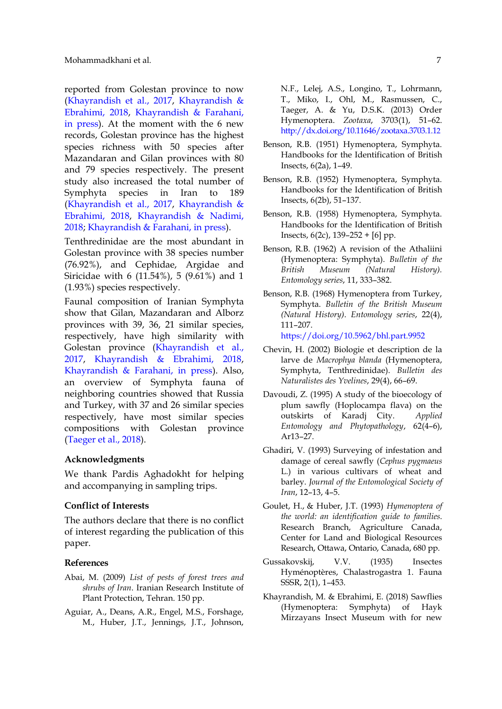reported from Golestan province to now [\(Khayrandish et al., 2017,](#page-7-4) [Khayrandish &](#page-6-11)  [Ebrahimi, 2018,](#page-6-11) [Khayrandish & Farahani,](#page-7-9)  [in press\)](#page-7-9). At the moment with the 6 new records, Golestan province has the highest species richness with 50 species after Mazandaran and Gilan provinces with 80 and 79 species respectively. The present study also increased the total number of Symphyta species in Iran to 189 [\(Khayrandish et al., 2017,](#page-7-4) [Khayrandish &](#page-6-11)  [Ebrahimi, 2018,](#page-6-11) [Khayrandish & Nadimi,](#page-7-15)  [2018;](#page-7-15) [Khayrandish & Farahani, in press\)](#page-7-9).

Tenthredinidae are the most abundant in Golestan province with 38 species number (76.92%), and Cephidae, Argidae and Siricidae with 6 (11.54%), 5 (9.61%) and 1 (1.93%) species respectively.

Faunal composition of Iranian Symphyta show that Gilan, Mazandaran and Alborz provinces with 39, 36, 21 similar species, respectively, have high similarity with Golestan province [\(Khayrandish et al.,](#page-7-4)  [2017,](#page-7-4) [Khayrandish & Ebrahimi, 2018,](#page-6-11) [Khayrandish & Farahani, in press\)](#page-7-9). Also, an overview of Symphyta fauna of neighboring countries showed that Russia and Turkey, with 37 and 26 similar species respectively, have most similar species compositions with Golestan province [\(Taeger et al., 2018\)](#page-7-2).

#### **Acknowledgments**

We thank Pardis Aghadokht for helping and accompanying in sampling trips.

### **Conflict of Interests**

The authors declare that there is no conflict of interest regarding the publication of this paper.

#### **References**

- <span id="page-6-3"></span>Abai, M. (2009) *List of pests of forest trees and shrubs of Iran*. Iranian Research Institute of Plant Protection, Tehran. 150 pp.
- <span id="page-6-0"></span>Aguiar, A., Deans, A.R., Engel, M.S., Forshage, M., Huber, J.T., Jennings, J.T., Johnson,

N.F., Lelej, A.S., Longino, T., Lohrmann, T., Miko, I., Ohl, M., Rasmussen, C., Taeger, A. & Yu, D.S.K. (2013) Order Hymenoptera. *Zootaxa*, 3703(1), 51–62. [http://dx.doi.org/10.11646/zootaxa.3703.1.1](http://dx.doi.org/10.11646/zootaxa.3703.1.12)2

- <span id="page-6-6"></span>Benson, R.B. (1951) Hymenoptera, Symphyta. Handbooks for the Identification of British Insects, 6(2a), 1–49.
- <span id="page-6-7"></span>Benson, R.B. (1952) Hymenoptera, Symphyta. Handbooks for the Identification of British Insects, 6(2b), 51–137.
- <span id="page-6-8"></span>Benson, R.B. (1958) Hymenoptera, Symphyta. Handbooks for the Identification of British Insects,  $6(2c)$ ,  $139-252 + [6]$  pp.
- <span id="page-6-9"></span>Benson, R.B. (1962) A revision of the Athaliini (Hymenoptera: Symphyta). *Bulletin of the British Museum (Natural History). Entomology series*, 11, 333–382.
- <span id="page-6-10"></span>Benson, R.B. (1968) Hymenoptera from Turkey, Symphyta. *Bulletin of the British Museum (Natural History)*. *Entomology series*, 22(4), 111–207.

<https://doi.org/10.5962/bhl.part.9952>

- <span id="page-6-12"></span>Chevin, H. (2002) Biologie et description de la larve de *Macrophya blanda* (Hymenoptera, Symphyta, Tenthredinidae). *Bulletin des Naturalistes des Yvelines*, 29(4), 66–69.
- <span id="page-6-2"></span>Davoudi, Z. (1995) A study of the bioecology of plum sawfly (Hoplocampa flava) on the outskirts of Karadj City. *Applied Entomology and Phytopathology*, 62(4–6), Ar13–27.
- <span id="page-6-4"></span>Ghadiri, V. (1993) Surveying of infestation and damage of cereal sawfly (*Cephus pygmaeus* L.) in various cultivars of wheat and barley. *Journal of the Entomological Society of Iran*, 12–13, 4–5.
- <span id="page-6-1"></span>Goulet, H., & Huber, J.T. (1993) *Hymenoptera of the world: an identification guide to families*. Research Branch, Agriculture Canada, Center for Land and Biological Resources Research, Ottawa, Ontario, Canada, 680 pp.
- <span id="page-6-5"></span>Gussakovskij, V.V. (1935) Insectes Hyménoptères, Chalastrogastra 1. Fauna SSSR, 2(1), 1–453.
- <span id="page-6-11"></span>Khayrandish, M. & Ebrahimi, E. (2018) Sawflies (Hymenoptera: Symphyta) of Hayk Mirzayans Insect Museum with for new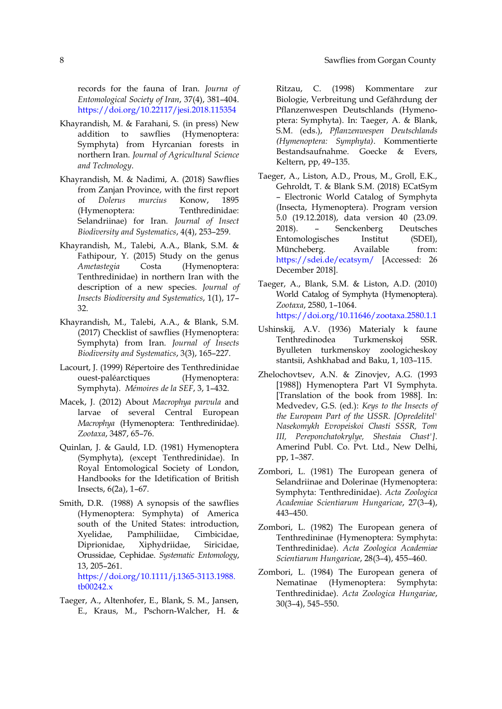records for the fauna of Iran. *Journa of Entomological Society of Iran*, 37(4), 381–404. <https://doi.org/10.22117/jesi.2018.115354>

- <span id="page-7-9"></span>Khayrandish, M. & Farahani, S. (in press) New addition to sawflies (Hymenoptera: Symphyta) from Hyrcanian forests in northern Iran. *Journal of Agricultural Science and Technology*.
- <span id="page-7-15"></span>Khayrandish, M. & Nadimi, A. (2018) Sawflies from Zanjan Province, with the first report of *Dolerus murcius* Konow, 1895 (Hymenoptera: Tenthredinidae: Selandriinae) for Iran. *Journal of Insect Biodiversity and Systematics*, 4(4), 253–259.
- <span id="page-7-12"></span>Khayrandish, M., Talebi, A.A., Blank, S.M. & Fathipour, Y. (2015) Study on the genus *Ametastegia* Costa (Hymenoptera: Tenthredinidae) in northern Iran with the description of a new species. *Journal of Insects Biodiversity and Systematics*, 1(1), 17– 32.
- <span id="page-7-4"></span>Khayrandish, M., Talebi, A.A., & Blank, S.M. (2017) Checklist of sawflies (Hymenoptera: Symphyta) from Iran. *Journal of Insects Biodiversity and Systematics*, 3(3), 165–227.
- <span id="page-7-13"></span>Lacourt, J. (1999) Répertoire des Tenthredinidae ouest-paléarctiques (Hymenoptera: Symphyta). *Mémoires de la SEF*, 3, 1–432.
- <span id="page-7-14"></span>Macek, J. (2012) About *Macrophya parvula* and larvae of several Central European *Macrophya* (Hymenoptera: Tenthredinidae). *Zootaxa*, 3487, 65–76.
- <span id="page-7-0"></span>Quinlan, J. & Gauld, I.D. (1981) Hymenoptera (Symphyta), (except Tenthredinidae). In Royal Entomological Society of London, Handbooks for the Idetification of British Insects, 6(2a), 1–67.
- <span id="page-7-1"></span>Smith, D.R. (1988) A synopsis of the sawflies (Hymenoptera: Symphyta) of America south of the United States: introduction, Xyelidae, Pamphiliidae, Cimbicidae, Diprionidae, Xiphydriidae, Siricidae, Orussidae, Cephidae. *Systematic Entomology*, 13, 205–261. [https://doi.org/10.1111/j.1365-3113.1988.](https://doi.org/10.1111/j.1365-3113.1988.%20tb00242.x)  [tb00242.x](https://doi.org/10.1111/j.1365-3113.1988.%20tb00242.x)
- <span id="page-7-11"></span>Taeger, A., Altenhofer, E., Blank, S. M., Jansen, E., Kraus, M., Pschorn-Walcher, H. &

Ritzau, C. (1998) Kommentare zur Biologie, Verbreitung und Gefährdung der Pflanzenwespen Deutschlands (Hymenoptera: Symphyta). In: Taeger, A. & Blank, S.M. (eds.), *Pflanzenwespen Deutschlands (Hymenoptera: Symphyta)*. Kommentierte Bestandsaufnahme. Goecke & Evers, Keltern, pp, 49–135.

- <span id="page-7-2"></span>Taeger, A., Liston, A.D., Prous, M., Groll, E.K., Gehroldt, T. & Blank S.M. (2018) ECatSym – Electronic World Catalog of Symphyta (Insecta, Hymenoptera). Program version 5.0 (19.12.2018), data version 40 (23.09. 2018). – Senckenberg Deutsches Entomologisches Institut (SDEI), Müncheberg. Available from: <https://sdei.de/ecatsym/> [Accessed: 26 December 2018].
- <span id="page-7-3"></span>Taeger, A., Blank, S.M. & Liston, A.D. (2010) World Catalog of Symphyta (Hymenoptera). *Zootaxa*, 2580, 1–1064. <https://doi.org/10.11646/zootaxa.2580.1.1>
- <span id="page-7-10"></span>Ushinskij, A.V. (1936) Materialy k faune Tenthredinodea Turkmenskoj SSR. Byulleten turkmenskoy zoologicheskoy stantsii, Ashkhabad and Baku, 1, 103–115.
- <span id="page-7-8"></span>Zhelochovtsev, A.N. & Zinovjev, A.G. (1993 [1988]) Hymenoptera Part VI Symphyta. [Translation of the book from 1988]. In: Medvedev, G.S. (ed.): *Keys to the Insects of the European Part of the USSR. [Opredelitel' Nasekomykh Evropeiskoi Chasti SSSR, Tom III, Pereponchatokrylye, Shestaia Chast']*. Amerind Publ. Co. Pvt. Ltd., New Delhi, pp, 1–387.
- <span id="page-7-5"></span>Zombori, L. (1981) The European genera of Selandriinae and Dolerinae (Hymenoptera: Symphyta: Tenthredinidae). *Acta Zoologica Academiae Scientiarum Hungaricae*, 27(3–4), 443–450.
- <span id="page-7-6"></span>Zombori, L. (1982) The European genera of Tenthredininae (Hymenoptera: Symphyta: Tenthredinidae). *Acta Zoologica Academiae Scientiarum Hungaricae*, 28(3–4), 455–460.
- <span id="page-7-7"></span>Zombori, L. (1984) The European genera of Nematinae (Hymenoptera: Symphyta: Tenthredinidae). *Acta Zoologica Hungariae*, 30(3–4), 545–550.